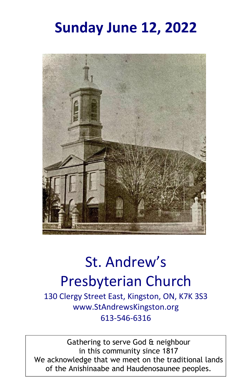## **Sunday June 12, 2022**



# St. Andrew's Presbyterian Church

130 Clergy Street East, Kingston, ON, K7K 3S3 www.StAndrewsKingston.org 613-546-6316

Gathering to serve God & neighbour in this community since 1817 We acknowledge that we meet on the traditional lands of the Anishinaabe and Haudenosaunee peoples.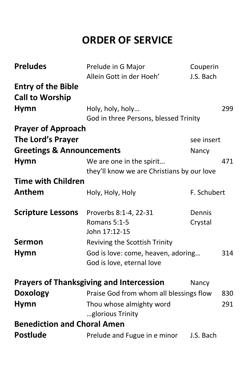## **ORDER OF SERVICE**

| <b>Preludes</b>                      | Prelude in G Major<br>Allein Gott in der Hoeh'                         | Couperin<br>J.S. Bach |     |
|--------------------------------------|------------------------------------------------------------------------|-----------------------|-----|
| <b>Entry of the Bible</b>            |                                                                        |                       |     |
| <b>Call to Worship</b>               |                                                                        |                       |     |
| <b>Hymn</b>                          | Holy, holy, holy                                                       |                       | 299 |
|                                      | God in three Persons, blessed Trinity                                  |                       |     |
| <b>Prayer of Approach</b>            |                                                                        |                       |     |
| The Lord's Prayer                    |                                                                        | see insert            |     |
| <b>Greetings &amp; Announcements</b> |                                                                        | Nancy                 |     |
| <b>Hymn</b>                          | We are one in the spirit<br>they'll know we are Christians by our love |                       | 471 |
| <b>Time with Children</b>            |                                                                        |                       |     |
| Anthem                               | Holy, Holy, Holy                                                       | F. Schubert           |     |
| <b>Scripture Lessons</b>             | Proverbs 8:1-4, 22-31                                                  | Dennis                |     |
|                                      | Romans 5:1-5                                                           | Crystal               |     |
|                                      | John 17:12-15                                                          |                       |     |
| <b>Sermon</b>                        | Reviving the Scottish Trinity                                          |                       |     |
| <b>Hymn</b>                          | God is love: come, heaven, adoring                                     |                       | 314 |
|                                      | God is love, eternal love                                              |                       |     |
|                                      | <b>Prayers of Thanksgiving and Intercession</b>                        | Nancy                 |     |
| <b>Doxology</b>                      | Praise God from whom all blessings flow                                |                       | 830 |
| <b>Hymn</b>                          | Thou whose almighty word                                               |                       | 291 |
|                                      | glorious Trinity                                                       |                       |     |
| <b>Benediction and Choral Amen</b>   |                                                                        |                       |     |
| <b>Postlude</b>                      | Prelude and Fugue in e minor                                           | J.S. Bach             |     |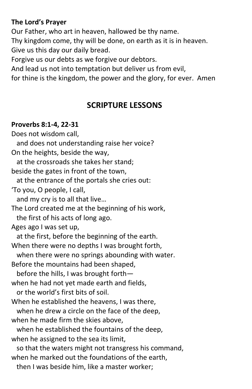#### **The Lord's Prayer**

Our Father, who art in heaven, hallowed be thy name. Thy kingdom come, thy will be done, on earth as it is in heaven. Give us this day our daily bread.

Forgive us our debts as we forgive our debtors.

And lead us not into temptation but deliver us from evil,

for thine is the kingdom, the power and the glory, for ever. Amen

## **SCRIPTURE LESSONS**

#### **Proverbs 8:1-4, 22-31**

Does not wisdom call, and does not understanding raise her voice? On the heights, beside the way, at the crossroads she takes her stand; beside the gates in front of the town, at the entrance of the portals she cries out: 'To you, O people, I call, and my cry is to all that live… The Lord created me at the beginning of his work, the first of his acts of long ago. Ages ago I was set up, at the first, before the beginning of the earth. When there were no depths I was brought forth, when there were no springs abounding with water. Before the mountains had been shaped, before the hills, I was brought forth when he had not yet made earth and fields, or the world's first bits of soil. When he established the heavens, I was there, when he drew a circle on the face of the deep, when he made firm the skies above, when he established the fountains of the deep, when he assigned to the sea its limit, so that the waters might not transgress his command, when he marked out the foundations of the earth, then I was beside him, like a master worker;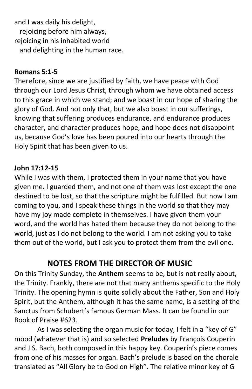and I was daily his delight, rejoicing before him always, rejoicing in his inhabited world and delighting in the human race.

#### **Romans 5:1-5**

Therefore, since we are justified by faith, we have peace with God through our Lord Jesus Christ, through whom we have obtained access to this grace in which we stand; and we boast in our hope of sharing the glory of God. And not only that, but we also boast in our sufferings, knowing that suffering produces endurance, and endurance produces character, and character produces hope, and hope does not disappoint us, because God's love has been poured into our hearts through the Holy Spirit that has been given to us.

#### **John 17:12-15**

While I was with them, I protected them in your name that you have given me. I guarded them, and not one of them was lost except the one destined to be lost, so that the scripture might be fulfilled. But now I am coming to you, and I speak these things in the world so that they may have my joy made complete in themselves. I have given them your word, and the world has hated them because they do not belong to the world, just as I do not belong to the world. I am not asking you to take them out of the world, but I ask you to protect them from the evil one.

## **NOTES FROM THE DIRECTOR OF MUSIC**

On this Trinity Sunday, the **Anthem** seems to be, but is not really about, the Trinity. Frankly, there are not that many anthems specific to the Holy Trinity. The opening hymn is quite solidly about the Father, Son and Holy Spirit, but the Anthem, although it has the same name, is a setting of the Sanctus from Schubert's famous German Mass. It can be found in our Book of Praise #623.

As I was selecting the organ music for today, I felt in a "key of G" mood (whatever that is) and so selected **Preludes** by François Couperin and J.S. Bach, both composed in this happy key. Couperin's piece comes from one of his masses for organ. Bach's prelude is based on the chorale translated as "All Glory be to God on High". The relative minor key of G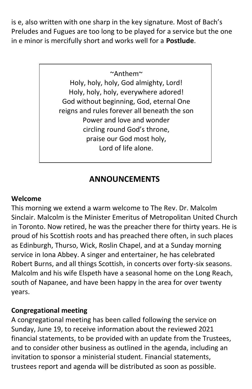is e, also written with one sharp in the key signature. Most of Bach's Preludes and Fugues are too long to be played for a service but the one in e minor is mercifully short and works well for a **Postlude**.

#### ~Anthem~

Holy, holy, holy, God almighty, Lord! Holy, holy, holy, everywhere adored! God without beginning, God, eternal One reigns and rules forever all beneath the son Power and love and wonder circling round God's throne, praise our God most holy, Lord of life alone.

## **ANNOUNCEMENTS**

#### **Welcome**

This morning we extend a warm welcome to The Rev. Dr. Malcolm Sinclair. Malcolm is the Minister Emeritus of Metropolitan United Church in Toronto. Now retired, he was the preacher there for thirty years. He is proud of his Scottish roots and has preached there often, in such places as Edinburgh, Thurso, Wick, Roslin Chapel, and at a Sunday morning service in Iona Abbey. A singer and entertainer, he has celebrated Robert Burns, and all things Scottish, in concerts over forty-six seasons. Malcolm and his wife Elspeth have a seasonal home on the Long Reach, south of Napanee, and have been happy in the area for over twenty years.

#### **Congregational meeting**

A congregational meeting has been called following the service on Sunday, June 19, to receive information about the reviewed 2021 financial statements, to be provided with an update from the Trustees, and to consider other business as outlined in the agenda, including an invitation to sponsor a ministerial student. Financial statements, trustees report and agenda will be distributed as soon as possible.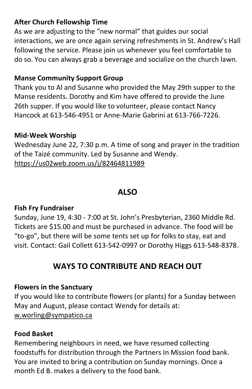#### **After Church Fellowship Time**

As we are adjusting to the "new normal" that guides our social interactions, we are once again serving refreshments in St. Andrew's Hall following the service. Please join us whenever you feel comfortable to do so. You can always grab a beverage and socialize on the church lawn.

#### **Manse Community Support Group**

Thank you to Al and Susanne who provided the May 29th supper to the Manse residents. Dorothy and Kim have offered to provide the June 26th supper. If you would like to volunteer, please contact Nancy Hancock at 613-546-4951 or Anne-Marie Gabrini at 613-766-7226.

#### **Mid-Week Worship**

Wednesday June 22, 7:30 p.m. A time of song and prayer in the tradition of the Taizé community. Led by Susanne and Wendy. <https://us02web.zoom.us/j/82464811989>

## **ALSO**

#### **Fish Fry Fundraiser**

Sunday, June 19, 4:30 - 7:00 at St. John's Presbyterian, 2360 Middle Rd. Tickets are \$15.00 and must be purchased in advance. The food will be "to-go", but there will be some tents set up for folks to stay, eat and visit. Contact: Gail Collett 613-542-0997 or Dorothy Higgs 613-548-8378.

## **WAYS TO CONTRIBUTE AND REACH OUT**

#### **Flowers in the Sanctuary**

If you would like to contribute flowers (or plants) for a Sunday between May and August, please contact Wendy for details at: [w.worling@sympatico.ca](file:///C:/Users/Office/Desktop/2022%20Desktop/April/w.worling@sympatico.ca)

#### **Food Basket**

Remembering neighbours in need, we have resumed collecting foodstuffs for distribution through the Partners In Mission food bank. You are invited to bring a contribution on Sunday mornings. Once a month Ed B. makes a delivery to the food bank.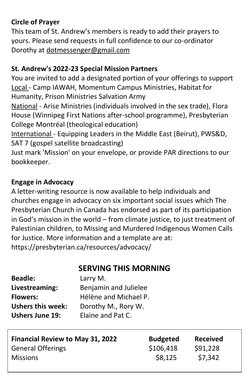#### **Circle of Prayer**

This team of St. Andrew's members is ready to add their prayers to yours. Please send requests in full confidence to our co-ordinator Dorothy at [dotmessenger@gmail.com](mailto:dotmessenger@gmail.com)

#### **St. Andrew's 2022-23 Special Mission Partners**

You are invited to add a designated portion of your offerings to support Local - Camp IAWAH, Momentum Campus Ministries, Habitat for Humanity, Prison Ministries Salvation Army National - Arise Ministries (individuals involved in the sex trade), Flora

House (Winnipeg First Nations after-school programme), Presbyterian College Montréal (theological education)

International - Equipping Leaders in the Middle East (Beirut), PWS&D, SAT 7 (gospel satellite broadcasting)

Just mark 'Mission' on your envelope, or provide PAR directions to our bookkeeper.

#### **Engage in Advocacy**

A letter-writing resource is now available to help individuals and churches engage in advocacy on six important social issues which The Presbyterian Church in Canada has endorsed as part of its participation in God's mission in the world – from climate justice, to just treatment of Palestinian children, to Missing and Murdered Indigenous Women Calls for Justice. More information and a template are at: https://presbyterian.ca/resources/advocacy/

## **SERVING THIS MORNING**

| <b>Beadle:</b>           | Larry M.              |
|--------------------------|-----------------------|
| Livestreaming:           | Benjamin and Julielee |
| <b>Flowers:</b>          | Hélène and Michael P. |
| <b>Ushers this week:</b> | Dorothy M., Rory W.   |
| <b>Ushers June 19:</b>   | Elaine and Pat C.     |

| <b>Financial Review to May 31, 2022</b> | <b>Budgeted</b> | <b>Received</b> |
|-----------------------------------------|-----------------|-----------------|
| <b>General Offerings</b>                | \$106,418       | \$91,228        |
| <b>Missions</b>                         | \$8,125         | \$7,342         |
|                                         |                 |                 |